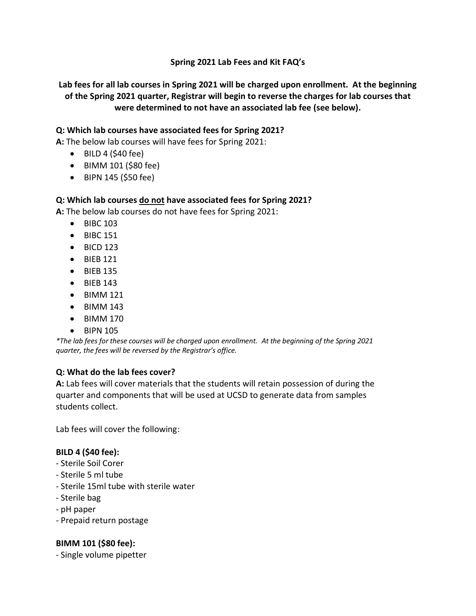### **Spring 2021 Lab Fees and Kit FAQ's**

**Lab fees for all lab courses in Spring 2021 will be charged upon enrollment. At the beginning of the Spring 2021 quarter, Registrar will begin to reverse the charges for lab courses that were determined to not have an associated lab fee (see below).**

### **Q: Which lab courses have associated fees for Spring 2021?**

**A:** The below lab courses will have fees for Spring 2021:

- $\bullet$  BILD 4 (\$40 fee)
- BIMM 101 (\$80 fee)
- BIPN 145 (\$50 fee)

### **Q: Which lab courses do not have associated fees for Spring 2021?**

**A:** The below lab courses do not have fees for Spring 2021:

- BIBC 103
- BIBC 151
- $\bullet$  BICD 123
- BIEB 121
- BIEB 135
- BIEB 143
- BIMM 121
- BIMM 143
- BIMM 170
- BIPN 105

*\*The lab fees for these courses will be charged upon enrollment. At the beginning of the Spring 2021 quarter, the fees will be reversed by the Registrar's office.* 

### **Q: What do the lab fees cover?**

**A:** Lab fees will cover materials that the students will retain possession of during the quarter and components that will be used at UCSD to generate data from samples students collect.

Lab fees will cover the following:

### **BILD 4 (\$40 fee):**

- Sterile Soil Corer
- Sterile 5 ml tube
- Sterile 15ml tube with sterile water
- Sterile bag
- pH paper
- Prepaid return postage

### **BIMM 101 (\$80 fee):**

- Single volume pipetter